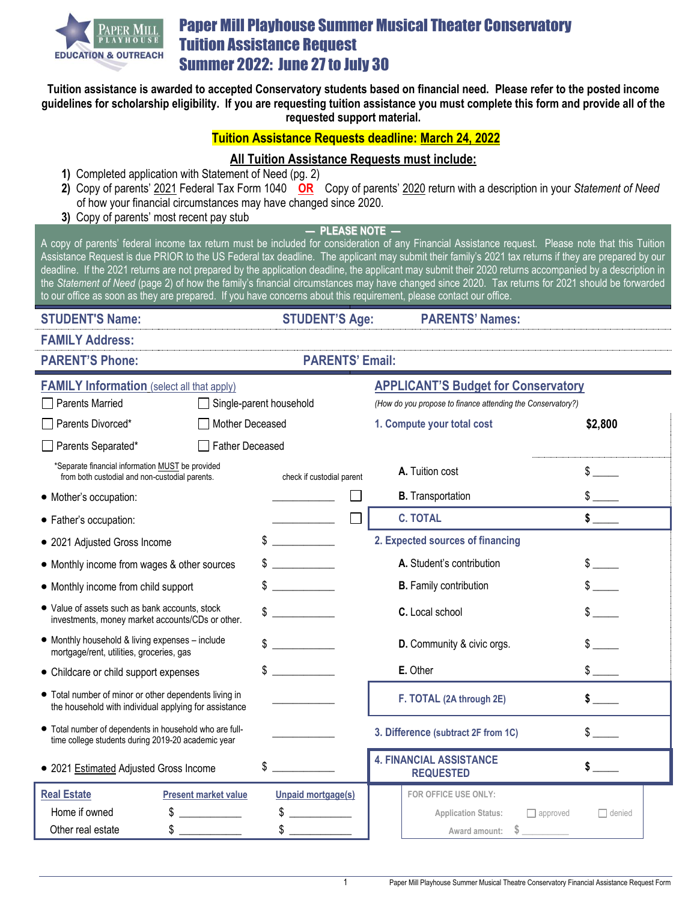

# Paper Mill Playhouse Summer Musical Theater Conservatory Tuition Assistance Request **Summer 2022: June 27 to July 30**

**Tuition assistance is awarded to accepted Conservatory students based on financial need. Please refer to the posted income guidelines for scholarship eligibility. If you are requesting tuition assistance you must complete this form and provide all of the requested support material.**

### **Tuition Assistance Requests deadline: March 24, 2022**

## **All Tuition Assistance Requests must include:**

- **1)** Completed application with Statement of Need (pg. 2)
- **2)** Copy of parents' 2021 Federal Tax Form 1040 **OR** Copy of parents' 2020 return with a description in your *Statement of Need* of how your financial circumstances may have changed since 2020.
- **3)** Copy of parents' most recent pay stub

**— PLEASE NOTE —**

A copy of parents' federal income tax return must be included for consideration of any Financial Assistance request. Please note that this Tuition Assistance Request is due PRIOR to the US Federal tax deadline. The applicant may submit their family's 2021 tax returns if they are prepared by our deadline. If the 2021 returns are not prepared by the application deadline, the applicant may submit their 2020 returns accompanied by a description in the *Statement of Need* (page 2) of how the family's financial circumstances may have changed since 2020. Tax returns for 2021 should be forwarded to our office as soon as they are prepared. If you have concerns about this requirement, please contact our office.

**STUDENT'S Name: STUDENT'S Age: PARENTS' Names:**

**FAMILY Address:**

**PARENT'S Phone: PARENTS' Email:**

| <b>FAMILY Information</b> (select all that apply)                                                              |                             |                           |                                                             | <b>APPLICANT'S Budget for Conservatory</b>         |                                               |               |  |
|----------------------------------------------------------------------------------------------------------------|-----------------------------|---------------------------|-------------------------------------------------------------|----------------------------------------------------|-----------------------------------------------|---------------|--|
| <b>Parents Married</b>                                                                                         | Single-parent household     |                           | (How do you propose to finance attending the Conservatory?) |                                                    |                                               |               |  |
| Parents Divorced*<br>Mother Deceased                                                                           |                             |                           |                                                             | 1. Compute your total cost                         |                                               | \$2,800       |  |
| Parents Separated*                                                                                             | <b>Father Deceased</b>      |                           |                                                             |                                                    |                                               |               |  |
| *Separate financial information MUST be provided<br>from both custodial and non-custodial parents.             |                             | check if custodial parent |                                                             | A. Tuition cost                                    |                                               |               |  |
| • Mother's occupation:                                                                                         |                             |                           |                                                             |                                                    | <b>B.</b> Transportation                      |               |  |
| • Father's occupation:                                                                                         |                             |                           |                                                             | <b>C. TOTAL</b>                                    |                                               |               |  |
| • 2021 Adjusted Gross Income                                                                                   |                             | \$                        |                                                             | 2. Expected sources of financing                   |                                               |               |  |
| • Monthly income from wages & other sources                                                                    |                             |                           |                                                             |                                                    | A. Student's contribution                     |               |  |
| • Monthly income from child support                                                                            |                             | S                         |                                                             |                                                    | <b>B.</b> Family contribution                 |               |  |
| • Value of assets such as bank accounts, stock<br>investments, money market accounts/CDs or other.             |                             | \$                        |                                                             |                                                    | C. Local school                               |               |  |
| • Monthly household & living expenses - include<br>mortgage/rent, utilities, groceries, gas                    |                             |                           |                                                             | D. Community & civic orgs.                         |                                               |               |  |
| • Childcare or child support expenses                                                                          |                             | \$                        |                                                             |                                                    | E. Other                                      |               |  |
| • Total number of minor or other dependents living in<br>the household with individual applying for assistance |                             |                           |                                                             |                                                    | F. TOTAL (2A through 2E)                      |               |  |
| • Total number of dependents in household who are full-<br>time college students during 2019-20 academic year  |                             |                           |                                                             | 3. Difference (subtract 2F from 1C)                |                                               |               |  |
| • 2021 Estimated Adjusted Gross Income                                                                         |                             | \$                        |                                                             | <b>4. FINANCIAL ASSISTANCE</b><br><b>REQUESTED</b> |                                               |               |  |
| <b>Real Estate</b>                                                                                             | <b>Present market value</b> | <b>Unpaid mortgage(s)</b> |                                                             |                                                    | FOR OFFICE USE ONLY:                          |               |  |
| Home if owned                                                                                                  |                             | \$                        |                                                             |                                                    | <b>Application Status:</b><br>$\Box$ approved | $\Box$ denied |  |
| Other real estate                                                                                              |                             |                           |                                                             |                                                    | S<br>Award amount:                            |               |  |